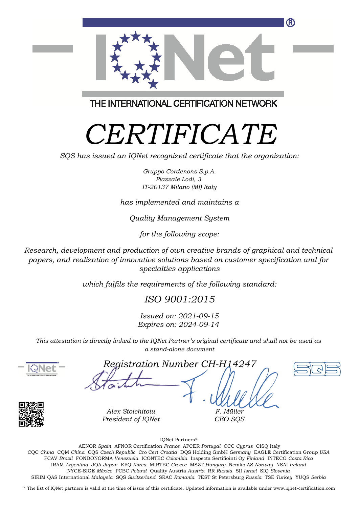

THE INTERNATIONAL CERTIFICATION NETWORK

# *CERTIFICATE*

*SQS has issued an IQNet recognized certificate that the organization:*

*Gruppo Cordenons S.p.A. Piazzale Lodi, 3 IT-20137 Milano (MI) Italy*

*has implemented and maintains a*

*Quality Management System*

*for the following scope:*

*Research, development and production of own creative brands of graphical and technical papers, and realization of innovative solutions based on customer specification and for specialties applications*

*which fulfils the requirements of the following standard:*

*ISO 9001:2015*

*Issued on: 2021-09-15 Expires on: 2024-09-14*

*This attestation is directly linked to the IQNet Partner's original certificate and shall not be used as a stand-alone document*



*Registration Number CH-H14247*

*F. Müller CEO SQS*





*Alex Stoichitoiu President of IQNet*

IQNet Partners\*:

This annex is only valid in connection with the above-mentioned certificate. FCAV *Brazil* FONDONORMA *Venezuela* ICONTEC *Colombia* Inspecta Sertifiointi Oy *Finland* INTECO *Costa Rica* AENOR *Spain* AFNOR Certification *France* APCER *Portugal* CCC *Cyprus* CISQ Italy CQC *China* CQM *China* CQS *Czech Republic* Cro Cert *Croatia* DQS Holding GmbH *Germany* EAGLE Certification Group *USA* IRAM *Argentina* JQA *Japan* KFQ *Korea* MIRTEC *Greece* MSZT *Hungary* Nemko AS *Norway* NSAI *Ireland* NYCE-SIGE *México* PCBC *Poland* Quality Austria *Austria* RR *Russia* SII *Israel* SIQ *Slovenia* SIRIM QAS International *Malaysia* SQS *Switzerland* SRAC *Romania* TEST St Petersburg *Russia* TSE *Turkey* YUQS *Serbia*

\* The list of IQNet partners is valid at the time of issue of this certificate. Updated information is available under www.iqnet-certification.com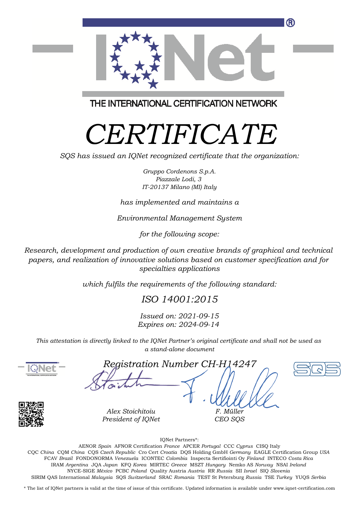

THE INTERNATIONAL CERTIFICATION NETWORK

# *CERTIFICATE*

*SQS has issued an IQNet recognized certificate that the organization:*

*Gruppo Cordenons S.p.A. Piazzale Lodi, 3 IT-20137 Milano (MI) Italy*

#### *has implemented and maintains a*

*Environmental Management System*

*for the following scope:*

*Research, development and production of own creative brands of graphical and technical papers, and realization of innovative solutions based on customer specification and for specialties applications*

*which fulfils the requirements of the following standard:*

*ISO 14001:2015*

*Issued on: 2021-09-15 Expires on: 2024-09-14*

*This attestation is directly linked to the IQNet Partner's original certificate and shall not be used as a stand-alone document*



*Registration Number CH-H14247*

*F. Müller CEO SQS*





*Alex Stoichitoiu President of IQNet*

IQNet Partners\*:

This annex is only valid in connection with the above-mentioned certificate. FCAV *Brazil* FONDONORMA *Venezuela* ICONTEC *Colombia* Inspecta Sertifiointi Oy *Finland* INTECO *Costa Rica* AENOR *Spain* AFNOR Certification *France* APCER *Portugal* CCC *Cyprus* CISQ Italy CQC *China* CQM *China* CQS *Czech Republic* Cro Cert *Croatia* DQS Holding GmbH *Germany* EAGLE Certification Group *USA* IRAM *Argentina* JQA *Japan* KFQ *Korea* MIRTEC *Greece* MSZT *Hungary* Nemko AS *Norway* NSAI *Ireland* NYCE-SIGE *México* PCBC *Poland* Quality Austria *Austria* RR *Russia* SII *Israel* SIQ *Slovenia* SIRIM QAS International *Malaysia* SQS *Switzerland* SRAC *Romania* TEST St Petersburg *Russia* TSE *Turkey* YUQS *Serbia*

\* The list of IQNet partners is valid at the time of issue of this certificate. Updated information is available under www.iqnet-certification.com